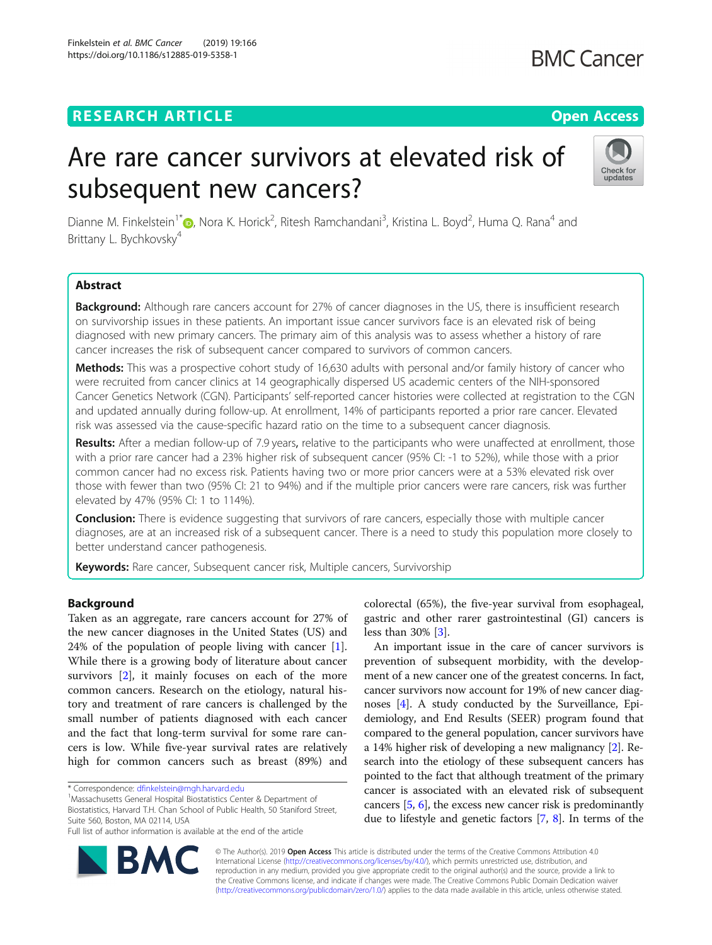# **RESEARCH ARTICLE Example 2014 12:30 The Open Access**

# **BMC Cancer**

# Are rare cancer survivors at elevated risk of subsequent new cancers?



Dianne M. Finkelstein<sup>1\*</sup> (@[,](http://orcid.org/0000-0001-9564-8181) Nora K. Horick<sup>2</sup>, Ritesh Ramchandani<sup>3</sup>, Kristina L. Boyd<sup>2</sup>, Huma Q. Rana<sup>4</sup> and Brittany L. Bychkovsky<sup>4</sup>

# Abstract

Background: Although rare cancers account for 27% of cancer diagnoses in the US, there is insufficient research on survivorship issues in these patients. An important issue cancer survivors face is an elevated risk of being diagnosed with new primary cancers. The primary aim of this analysis was to assess whether a history of rare cancer increases the risk of subsequent cancer compared to survivors of common cancers.

Methods: This was a prospective cohort study of 16,630 adults with personal and/or family history of cancer who were recruited from cancer clinics at 14 geographically dispersed US academic centers of the NIH-sponsored Cancer Genetics Network (CGN). Participants' self-reported cancer histories were collected at registration to the CGN and updated annually during follow-up. At enrollment, 14% of participants reported a prior rare cancer. Elevated risk was assessed via the cause-specific hazard ratio on the time to a subsequent cancer diagnosis.

Results: After a median follow-up of 7.9 years, relative to the participants who were unaffected at enrollment, those with a prior rare cancer had a 23% higher risk of subsequent cancer (95% CI: -1 to 52%), while those with a prior common cancer had no excess risk. Patients having two or more prior cancers were at a 53% elevated risk over those with fewer than two (95% CI: 21 to 94%) and if the multiple prior cancers were rare cancers, risk was further elevated by 47% (95% CI: 1 to 114%).

Conclusion: There is evidence suggesting that survivors of rare cancers, especially those with multiple cancer diagnoses, are at an increased risk of a subsequent cancer. There is a need to study this population more closely to better understand cancer pathogenesis.

Keywords: Rare cancer, Subsequent cancer risk, Multiple cancers, Survivorship

# Background

Taken as an aggregate, rare cancers account for 27% of the new cancer diagnoses in the United States (US) and 24% of the population of people living with cancer [\[1](#page-5-0)]. While there is a growing body of literature about cancer survivors [[2](#page-5-0)], it mainly focuses on each of the more common cancers. Research on the etiology, natural history and treatment of rare cancers is challenged by the small number of patients diagnosed with each cancer and the fact that long-term survival for some rare cancers is low. While five-year survival rates are relatively high for common cancers such as breast (89%) and

<sup>1</sup>Massachusetts General Hospital Biostatistics Center & Department of Biostatistics, Harvard T.H. Chan School of Public Health, 50 Staniford Street, Suite 560, Boston, MA 02114, USA

colorectal (65%), the five-year survival from esophageal, gastric and other rarer gastrointestinal (GI) cancers is less than 30% [\[3](#page-5-0)].

An important issue in the care of cancer survivors is prevention of subsequent morbidity, with the development of a new cancer one of the greatest concerns. In fact, cancer survivors now account for 19% of new cancer diagnoses [[4\]](#page-5-0). A study conducted by the Surveillance, Epidemiology, and End Results (SEER) program found that compared to the general population, cancer survivors have a 14% higher risk of developing a new malignancy [[2\]](#page-5-0). Research into the etiology of these subsequent cancers has pointed to the fact that although treatment of the primary cancer is associated with an elevated risk of subsequent cancers [\[5](#page-5-0), [6\]](#page-5-0), the excess new cancer risk is predominantly due to lifestyle and genetic factors [\[7,](#page-5-0) [8](#page-5-0)]. In terms of the



© The Author(s). 2019 Open Access This article is distributed under the terms of the Creative Commons Attribution 4.0 International License [\(http://creativecommons.org/licenses/by/4.0/](http://creativecommons.org/licenses/by/4.0/)), which permits unrestricted use, distribution, and reproduction in any medium, provided you give appropriate credit to the original author(s) and the source, provide a link to the Creative Commons license, and indicate if changes were made. The Creative Commons Public Domain Dedication waiver [\(http://creativecommons.org/publicdomain/zero/1.0/](http://creativecommons.org/publicdomain/zero/1.0/)) applies to the data made available in this article, unless otherwise stated.

<sup>\*</sup> Correspondence: [dfinkelstein@mgh.harvard.edu](mailto:dfinkelstein@mgh.harvard.edu) <sup>1</sup>

Full list of author information is available at the end of the article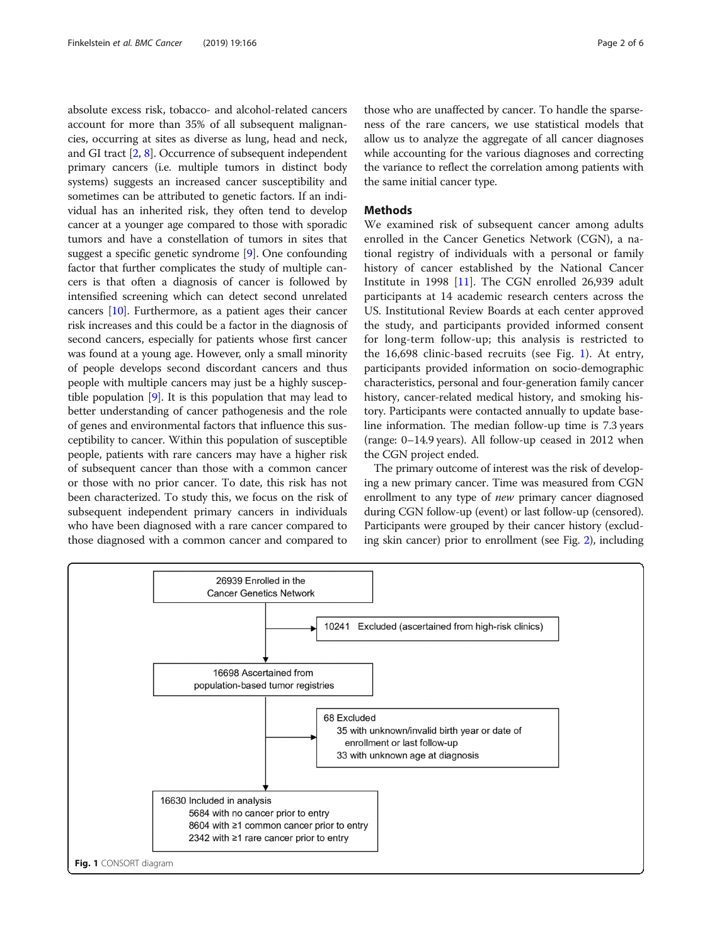absolute excess risk, tobacco- and alcohol-related cancers account for more than 35% of all subsequent malignancies, occurring at sites as diverse as lung, head and neck, and GI tract [\[2,](#page-5-0) [8](#page-5-0)]. Occurrence of subsequent independent primary cancers (i.e. multiple tumors in distinct body systems) suggests an increased cancer susceptibility and sometimes can be attributed to genetic factors. If an individual has an inherited risk, they often tend to develop cancer at a younger age compared to those with sporadic tumors and have a constellation of tumors in sites that suggest a specific genetic syndrome [\[9](#page-5-0)]. One confounding factor that further complicates the study of multiple cancers is that often a diagnosis of cancer is followed by intensified screening which can detect second unrelated cancers [\[10](#page-5-0)]. Furthermore, as a patient ages their cancer risk increases and this could be a factor in the diagnosis of second cancers, especially for patients whose first cancer was found at a young age. However, only a small minority of people develops second discordant cancers and thus people with multiple cancers may just be a highly susceptible population [\[9\]](#page-5-0). It is this population that may lead to better understanding of cancer pathogenesis and the role of genes and environmental factors that influence this susceptibility to cancer. Within this population of susceptible people, patients with rare cancers may have a higher risk of subsequent cancer than those with a common cancer or those with no prior cancer. To date, this risk has not been characterized. To study this, we focus on the risk of subsequent independent primary cancers in individuals who have been diagnosed with a rare cancer compared to those diagnosed with a common cancer and compared to

those who are unaffected by cancer. To handle the sparseness of the rare cancers, we use statistical models that allow us to analyze the aggregate of all cancer diagnoses while accounting for the various diagnoses and correcting the variance to reflect the correlation among patients with the same initial cancer type.

### Methods

We examined risk of subsequent cancer among adults enrolled in the Cancer Genetics Network (CGN), a national registry of individuals with a personal or family history of cancer established by the National Cancer Institute in 1998 [\[11\]](#page-5-0). The CGN enrolled 26,939 adult participants at 14 academic research centers across the US. Institutional Review Boards at each center approved the study, and participants provided informed consent for long-term follow-up; this analysis is restricted to the 16,698 clinic-based recruits (see Fig. 1). At entry, participants provided information on socio-demographic characteristics, personal and four-generation family cancer history, cancer-related medical history, and smoking history. Participants were contacted annually to update baseline information. The median follow-up time is 7.3 years (range: 0–14.9 years). All follow-up ceased in 2012 when the CGN project ended.

The primary outcome of interest was the risk of developing a new primary cancer. Time was measured from CGN enrollment to any type of *new* primary cancer diagnosed during CGN follow-up (event) or last follow-up (censored). Participants were grouped by their cancer history (excluding skin cancer) prior to enrollment (see Fig. [2](#page-2-0)), including

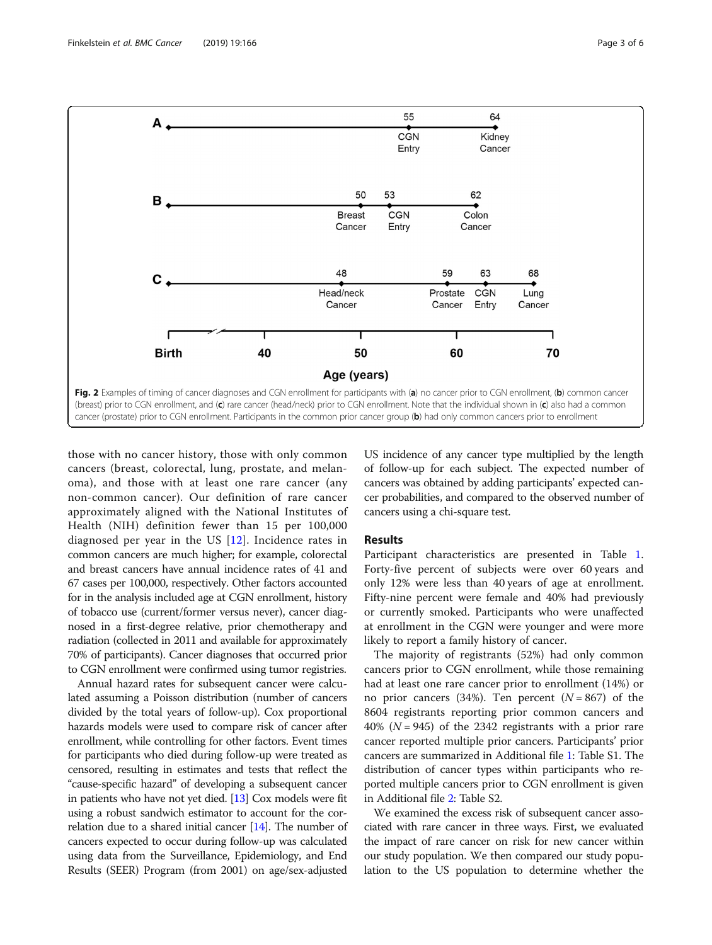<span id="page-2-0"></span>

those with no cancer history, those with only common cancers (breast, colorectal, lung, prostate, and melanoma), and those with at least one rare cancer (any non-common cancer). Our definition of rare cancer approximately aligned with the National Institutes of Health (NIH) definition fewer than 15 per 100,000 diagnosed per year in the US [[12\]](#page-5-0). Incidence rates in common cancers are much higher; for example, colorectal and breast cancers have annual incidence rates of 41 and 67 cases per 100,000, respectively. Other factors accounted for in the analysis included age at CGN enrollment, history of tobacco use (current/former versus never), cancer diagnosed in a first-degree relative, prior chemotherapy and radiation (collected in 2011 and available for approximately 70% of participants). Cancer diagnoses that occurred prior to CGN enrollment were confirmed using tumor registries.

Annual hazard rates for subsequent cancer were calculated assuming a Poisson distribution (number of cancers divided by the total years of follow-up). Cox proportional hazards models were used to compare risk of cancer after enrollment, while controlling for other factors. Event times for participants who died during follow-up were treated as censored, resulting in estimates and tests that reflect the "cause-specific hazard" of developing a subsequent cancer in patients who have not yet died. [[13](#page-5-0)] Cox models were fit using a robust sandwich estimator to account for the correlation due to a shared initial cancer [\[14\]](#page-5-0). The number of cancers expected to occur during follow-up was calculated using data from the Surveillance, Epidemiology, and End Results (SEER) Program (from 2001) on age/sex-adjusted

US incidence of any cancer type multiplied by the length of follow-up for each subject. The expected number of cancers was obtained by adding participants' expected cancer probabilities, and compared to the observed number of cancers using a chi-square test.

# Results

Participant characteristics are presented in Table [1](#page-3-0). Forty-five percent of subjects were over 60 years and only 12% were less than 40 years of age at enrollment. Fifty-nine percent were female and 40% had previously or currently smoked. Participants who were unaffected at enrollment in the CGN were younger and were more likely to report a family history of cancer.

The majority of registrants (52%) had only common cancers prior to CGN enrollment, while those remaining had at least one rare cancer prior to enrollment (14%) or no prior cancers (34%). Ten percent  $(N = 867)$  of the 8604 registrants reporting prior common cancers and 40% ( $N = 945$ ) of the 2342 registrants with a prior rare cancer reported multiple prior cancers. Participants' prior cancers are summarized in Additional file [1:](#page-4-0) Table S1. The distribution of cancer types within participants who reported multiple cancers prior to CGN enrollment is given in Additional file [2:](#page-5-0) Table S2.

We examined the excess risk of subsequent cancer associated with rare cancer in three ways. First, we evaluated the impact of rare cancer on risk for new cancer within our study population. We then compared our study population to the US population to determine whether the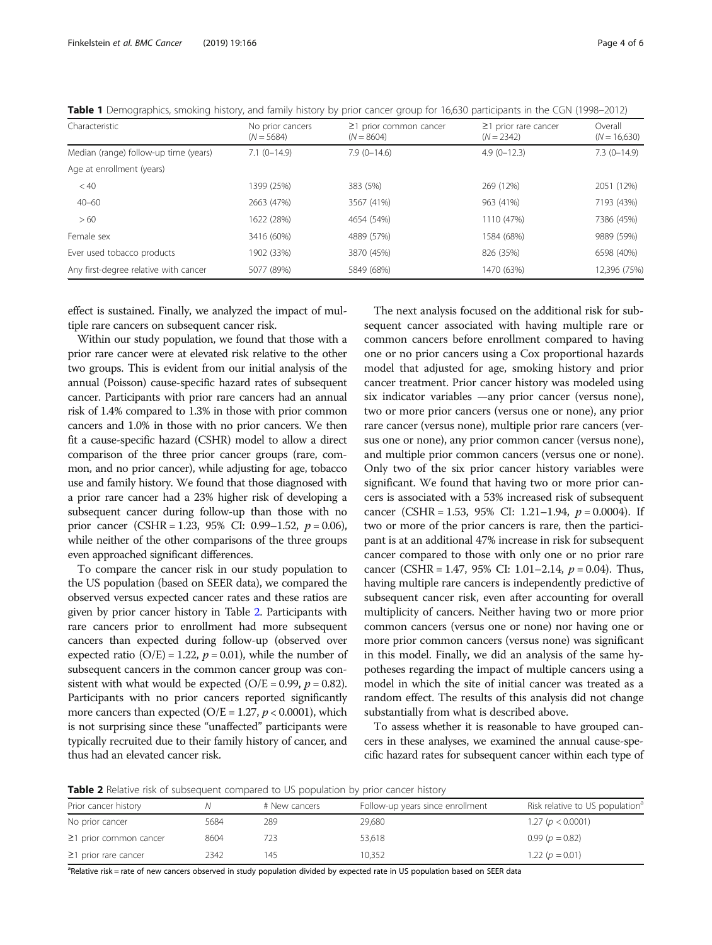<span id="page-3-0"></span>

|  |  |  |  |  |  | Table 1 Demographics, smoking history, and family history by prior cancer group for 16,630 participants in the CGN (1998-2012) |  |
|--|--|--|--|--|--|--------------------------------------------------------------------------------------------------------------------------------|--|
|--|--|--|--|--|--|--------------------------------------------------------------------------------------------------------------------------------|--|

| Characteristic                        | No prior cancers<br>$(N = 5684)$ | $\geq$ 1 prior common cancer<br>$(N = 8604)$ | $\geq$ 1 prior rare cancer<br>$(N = 2342)$ | Overall<br>$(N = 16,630)$ |
|---------------------------------------|----------------------------------|----------------------------------------------|--------------------------------------------|---------------------------|
| Median (range) follow-up time (years) | $7.1(0-14.9)$                    | $7.9(0-14.6)$                                | $4.9(0-12.3)$                              | $7.3(0-14.9)$             |
| Age at enrollment (years)             |                                  |                                              |                                            |                           |
| < 40                                  | 1399 (25%)                       | 383 (5%)                                     | 269 (12%)                                  | 2051 (12%)                |
| $40 - 60$                             | 2663 (47%)                       | 3567 (41%)                                   | 963 (41%)                                  | 7193 (43%)                |
| >60                                   | 1622 (28%)                       | 4654 (54%)                                   | 1110 (47%)                                 | 7386 (45%)                |
| Female sex                            | 3416 (60%)                       | 4889 (57%)                                   | 1584 (68%)                                 | 9889 (59%)                |
| Ever used tobacco products            | 1902 (33%)                       | 3870 (45%)                                   | 826 (35%)                                  | 6598 (40%)                |
| Any first-degree relative with cancer | 5077 (89%)                       | 5849 (68%)                                   | 1470 (63%)                                 | 12,396 (75%)              |

effect is sustained. Finally, we analyzed the impact of multiple rare cancers on subsequent cancer risk.

Within our study population, we found that those with a prior rare cancer were at elevated risk relative to the other two groups. This is evident from our initial analysis of the annual (Poisson) cause-specific hazard rates of subsequent cancer. Participants with prior rare cancers had an annual risk of 1.4% compared to 1.3% in those with prior common cancers and 1.0% in those with no prior cancers. We then fit a cause-specific hazard (CSHR) model to allow a direct comparison of the three prior cancer groups (rare, common, and no prior cancer), while adjusting for age, tobacco use and family history. We found that those diagnosed with a prior rare cancer had a 23% higher risk of developing a subsequent cancer during follow-up than those with no prior cancer (CSHR = 1.23, 95% CI: 0.99–1.52,  $p = 0.06$ ), while neither of the other comparisons of the three groups even approached significant differences.

To compare the cancer risk in our study population to the US population (based on SEER data), we compared the observed versus expected cancer rates and these ratios are given by prior cancer history in Table 2. Participants with rare cancers prior to enrollment had more subsequent cancers than expected during follow-up (observed over expected ratio (O/E) = 1.22,  $p = 0.01$ ), while the number of subsequent cancers in the common cancer group was consistent with what would be expected ( $O/E = 0.99$ ,  $p = 0.82$ ). Participants with no prior cancers reported significantly more cancers than expected ( $O/E = 1.27$ ,  $p < 0.0001$ ), which is not surprising since these "unaffected" participants were typically recruited due to their family history of cancer, and thus had an elevated cancer risk.

The next analysis focused on the additional risk for subsequent cancer associated with having multiple rare or common cancers before enrollment compared to having one or no prior cancers using a Cox proportional hazards model that adjusted for age, smoking history and prior cancer treatment. Prior cancer history was modeled using six indicator variables —any prior cancer (versus none), two or more prior cancers (versus one or none), any prior rare cancer (versus none), multiple prior rare cancers (versus one or none), any prior common cancer (versus none), and multiple prior common cancers (versus one or none). Only two of the six prior cancer history variables were significant. We found that having two or more prior cancers is associated with a 53% increased risk of subsequent cancer (CSHR = 1.53, 95% CI: 1.21–1.94,  $p = 0.0004$ ). If two or more of the prior cancers is rare, then the participant is at an additional 47% increase in risk for subsequent cancer compared to those with only one or no prior rare cancer (CSHR = 1.47, 95% CI: 1.01–2.14,  $p = 0.04$ ). Thus, having multiple rare cancers is independently predictive of subsequent cancer risk, even after accounting for overall multiplicity of cancers. Neither having two or more prior common cancers (versus one or none) nor having one or more prior common cancers (versus none) was significant in this model. Finally, we did an analysis of the same hypotheses regarding the impact of multiple cancers using a model in which the site of initial cancer was treated as a random effect. The results of this analysis did not change substantially from what is described above.

To assess whether it is reasonable to have grouped cancers in these analyses, we examined the annual cause-specific hazard rates for subsequent cancer within each type of

**Table 2** Relative risk of subsequent compared to US population by prior cancer history

| Prior cancer history         |      | # New cancers | Follow-up years since enrollment | Risk relative to US population <sup>a</sup> |
|------------------------------|------|---------------|----------------------------------|---------------------------------------------|
| No prior cancer              | 5684 | 289           | 29.680                           | 1.27 ( $p < 0.0001$ )                       |
| $\geq$ 1 prior common cancer | 8604 | 723           | 53,618                           | $0.99(p = 0.82)$                            |
| $\geq$ 1 prior rare cancer   | 2342 | 145           | 10.352                           | 1.22 ( $p = 0.01$ )                         |

<sup>a</sup>Relative risk = rate of new cancers observed in study population divided by expected rate in US population based on SEER data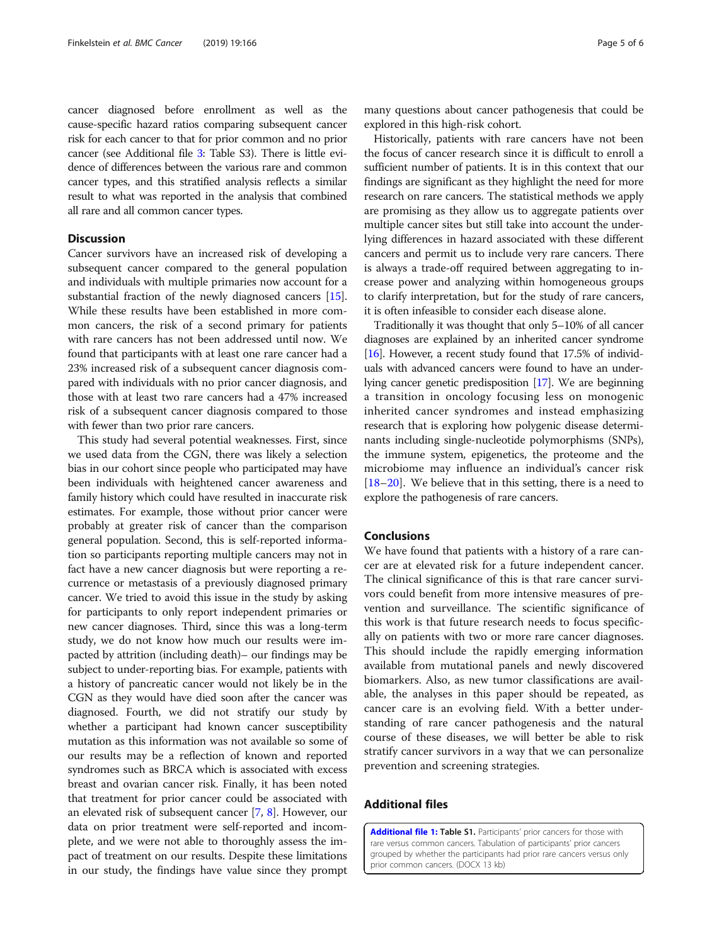<span id="page-4-0"></span>cancer diagnosed before enrollment as well as the cause-specific hazard ratios comparing subsequent cancer risk for each cancer to that for prior common and no prior cancer (see Additional file [3:](#page-5-0) Table S3). There is little evidence of differences between the various rare and common cancer types, and this stratified analysis reflects a similar result to what was reported in the analysis that combined all rare and all common cancer types.

# **Discussion**

Cancer survivors have an increased risk of developing a subsequent cancer compared to the general population and individuals with multiple primaries now account for a substantial fraction of the newly diagnosed cancers [[15](#page-5-0)]. While these results have been established in more common cancers, the risk of a second primary for patients with rare cancers has not been addressed until now. We found that participants with at least one rare cancer had a 23% increased risk of a subsequent cancer diagnosis compared with individuals with no prior cancer diagnosis, and those with at least two rare cancers had a 47% increased risk of a subsequent cancer diagnosis compared to those with fewer than two prior rare cancers.

This study had several potential weaknesses. First, since we used data from the CGN, there was likely a selection bias in our cohort since people who participated may have been individuals with heightened cancer awareness and family history which could have resulted in inaccurate risk estimates. For example, those without prior cancer were probably at greater risk of cancer than the comparison general population. Second, this is self-reported information so participants reporting multiple cancers may not in fact have a new cancer diagnosis but were reporting a recurrence or metastasis of a previously diagnosed primary cancer. We tried to avoid this issue in the study by asking for participants to only report independent primaries or new cancer diagnoses. Third, since this was a long-term study, we do not know how much our results were impacted by attrition (including death)– our findings may be subject to under-reporting bias. For example, patients with a history of pancreatic cancer would not likely be in the CGN as they would have died soon after the cancer was diagnosed. Fourth, we did not stratify our study by whether a participant had known cancer susceptibility mutation as this information was not available so some of our results may be a reflection of known and reported syndromes such as BRCA which is associated with excess breast and ovarian cancer risk. Finally, it has been noted that treatment for prior cancer could be associated with an elevated risk of subsequent cancer [\[7](#page-5-0), [8](#page-5-0)]. However, our data on prior treatment were self-reported and incomplete, and we were not able to thoroughly assess the impact of treatment on our results. Despite these limitations in our study, the findings have value since they prompt

many questions about cancer pathogenesis that could be explored in this high-risk cohort.

Historically, patients with rare cancers have not been the focus of cancer research since it is difficult to enroll a sufficient number of patients. It is in this context that our findings are significant as they highlight the need for more research on rare cancers. The statistical methods we apply are promising as they allow us to aggregate patients over multiple cancer sites but still take into account the underlying differences in hazard associated with these different cancers and permit us to include very rare cancers. There is always a trade-off required between aggregating to increase power and analyzing within homogeneous groups to clarify interpretation, but for the study of rare cancers, it is often infeasible to consider each disease alone.

Traditionally it was thought that only 5–10% of all cancer diagnoses are explained by an inherited cancer syndrome [[16](#page-5-0)]. However, a recent study found that 17.5% of individuals with advanced cancers were found to have an underlying cancer genetic predisposition [\[17](#page-5-0)]. We are beginning a transition in oncology focusing less on monogenic inherited cancer syndromes and instead emphasizing research that is exploring how polygenic disease determinants including single-nucleotide polymorphisms (SNPs), the immune system, epigenetics, the proteome and the microbiome may influence an individual's cancer risk [[18](#page-5-0)–[20\]](#page-5-0). We believe that in this setting, there is a need to explore the pathogenesis of rare cancers.

# Conclusions

We have found that patients with a history of a rare cancer are at elevated risk for a future independent cancer. The clinical significance of this is that rare cancer survivors could benefit from more intensive measures of prevention and surveillance. The scientific significance of this work is that future research needs to focus specifically on patients with two or more rare cancer diagnoses. This should include the rapidly emerging information available from mutational panels and newly discovered biomarkers. Also, as new tumor classifications are available, the analyses in this paper should be repeated, as cancer care is an evolving field. With a better understanding of rare cancer pathogenesis and the natural course of these diseases, we will better be able to risk stratify cancer survivors in a way that we can personalize prevention and screening strategies.

## Additional files

[Additional file 1:](https://doi.org/10.1186/s12885-019-5358-1) Table S1. Participants' prior cancers for those with rare versus common cancers. Tabulation of participants' prior cancers grouped by whether the participants had prior rare cancers versus only prior common cancers. (DOCX 13 kb)